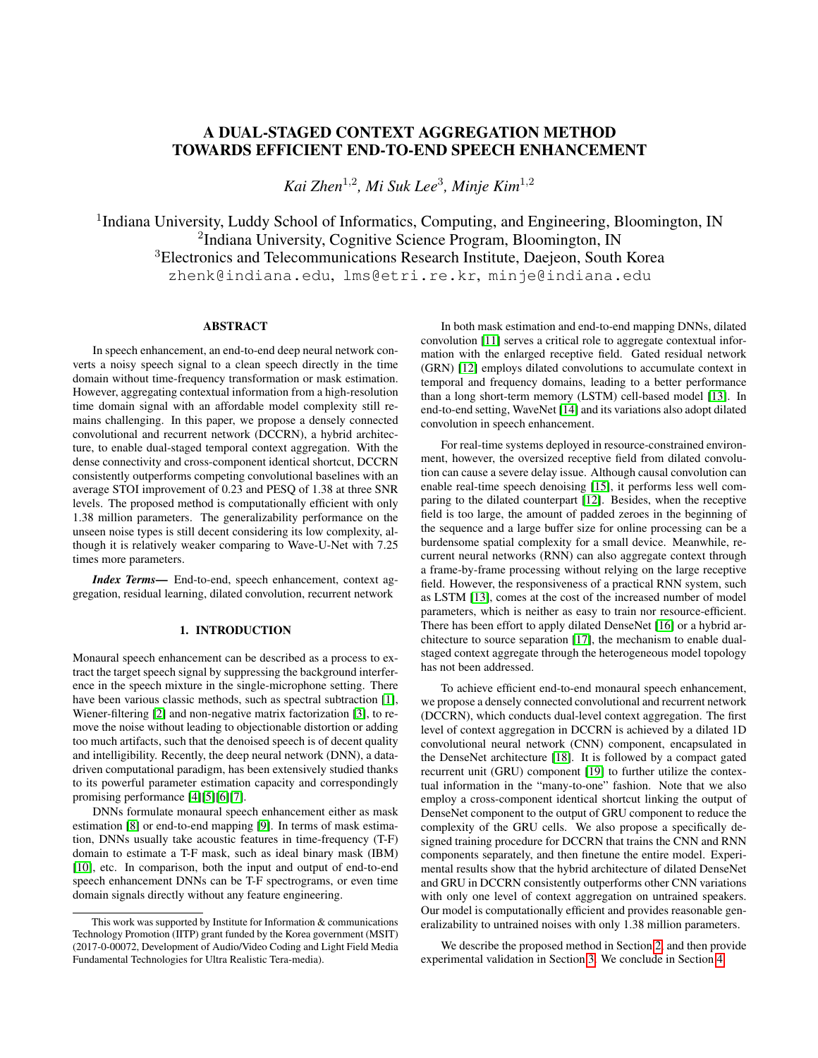# A DUAL-STAGED CONTEXT AGGREGATION METHOD TOWARDS EFFICIENT END-TO-END SPEECH ENHANCEMENT

*Kai Zhen*<sup>1</sup>,<sup>2</sup> *, Mi Suk Lee*<sup>3</sup> *, Minje Kim*<sup>1</sup>,<sup>2</sup>

<sup>1</sup>Indiana University, Luddy School of Informatics, Computing, and Engineering, Bloomington, IN <sup>2</sup>Indiana University, Cognitive Science Program, Bloomington, IN <sup>3</sup>Electronics and Telecommunications Research Institute, Daejeon, South Korea zhenk@indiana.edu, lms@etri.re.kr, minje@indiana.edu

## ABSTRACT

In speech enhancement, an end-to-end deep neural network converts a noisy speech signal to a clean speech directly in the time domain without time-frequency transformation or mask estimation. However, aggregating contextual information from a high-resolution time domain signal with an affordable model complexity still remains challenging. In this paper, we propose a densely connected convolutional and recurrent network (DCCRN), a hybrid architecture, to enable dual-staged temporal context aggregation. With the dense connectivity and cross-component identical shortcut, DCCRN consistently outperforms competing convolutional baselines with an average STOI improvement of 0.23 and PESQ of 1.38 at three SNR levels. The proposed method is computationally efficient with only 1.38 million parameters. The generalizability performance on the unseen noise types is still decent considering its low complexity, although it is relatively weaker comparing to Wave-U-Net with 7.25 times more parameters.

*Index Terms*— End-to-end, speech enhancement, context aggregation, residual learning, dilated convolution, recurrent network

## 1. INTRODUCTION

Monaural speech enhancement can be described as a process to extract the target speech signal by suppressing the background interference in the speech mixture in the single-microphone setting. There have been various classic methods, such as spectral subtraction [\[1\]](#page-4-0), Wiener-filtering [\[2\]](#page-4-1) and non-negative matrix factorization [\[3\]](#page-4-2), to remove the noise without leading to objectionable distortion or adding too much artifacts, such that the denoised speech is of decent quality and intelligibility. Recently, the deep neural network (DNN), a datadriven computational paradigm, has been extensively studied thanks to its powerful parameter estimation capacity and correspondingly promising performance [\[4\]](#page-4-3)[\[5\]](#page-4-4)[\[6\]](#page-4-5)[\[7\]](#page-4-6).

DNNs formulate monaural speech enhancement either as mask estimation [\[8\]](#page-4-7) or end-to-end mapping [\[9\]](#page-4-8). In terms of mask estimation, DNNs usually take acoustic features in time-frequency (T-F) domain to estimate a T-F mask, such as ideal binary mask (IBM) [\[10\]](#page-4-9), etc. In comparison, both the input and output of end-to-end speech enhancement DNNs can be T-F spectrograms, or even time domain signals directly without any feature engineering.

In both mask estimation and end-to-end mapping DNNs, dilated convolution [\[11\]](#page-4-10) serves a critical role to aggregate contextual information with the enlarged receptive field. Gated residual network (GRN) [\[12\]](#page-4-11) employs dilated convolutions to accumulate context in temporal and frequency domains, leading to a better performance than a long short-term memory (LSTM) cell-based model [\[13\]](#page-4-12). In end-to-end setting, WaveNet [\[14\]](#page-4-13) and its variations also adopt dilated convolution in speech enhancement.

For real-time systems deployed in resource-constrained environment, however, the oversized receptive field from dilated convolution can cause a severe delay issue. Although causal convolution can enable real-time speech denoising [\[15\]](#page-4-14), it performs less well comparing to the dilated counterpart [\[12\]](#page-4-11). Besides, when the receptive field is too large, the amount of padded zeroes in the beginning of the sequence and a large buffer size for online processing can be a burdensome spatial complexity for a small device. Meanwhile, recurrent neural networks (RNN) can also aggregate context through a frame-by-frame processing without relying on the large receptive field. However, the responsiveness of a practical RNN system, such as LSTM [\[13\]](#page-4-12), comes at the cost of the increased number of model parameters, which is neither as easy to train nor resource-efficient. There has been effort to apply dilated DenseNet [\[16\]](#page-4-15) or a hybrid architecture to source separation [\[17\]](#page-4-16), the mechanism to enable dualstaged context aggregate through the heterogeneous model topology has not been addressed.

To achieve efficient end-to-end monaural speech enhancement, we propose a densely connected convolutional and recurrent network (DCCRN), which conducts dual-level context aggregation. The first level of context aggregation in DCCRN is achieved by a dilated 1D convolutional neural network (CNN) component, encapsulated in the DenseNet architecture [\[18\]](#page-4-17). It is followed by a compact gated recurrent unit (GRU) component [\[19\]](#page-4-18) to further utilize the contextual information in the "many-to-one" fashion. Note that we also employ a cross-component identical shortcut linking the output of DenseNet component to the output of GRU component to reduce the complexity of the GRU cells. We also propose a specifically designed training procedure for DCCRN that trains the CNN and RNN components separately, and then finetune the entire model. Experimental results show that the hybrid architecture of dilated DenseNet and GRU in DCCRN consistently outperforms other CNN variations with only one level of context aggregation on untrained speakers. Our model is computationally efficient and provides reasonable generalizability to untrained noises with only 1.38 million parameters.

We describe the proposed method in Section [2,](#page-1-0) and then provide experimental validation in Section [3.](#page-2-0) We conclude in Section [4.](#page-3-0)

This work was supported by Institute for Information & communications Technology Promotion (IITP) grant funded by the Korea government (MSIT) (2017-0-00072, Development of Audio/Video Coding and Light Field Media Fundamental Technologies for Ultra Realistic Tera-media).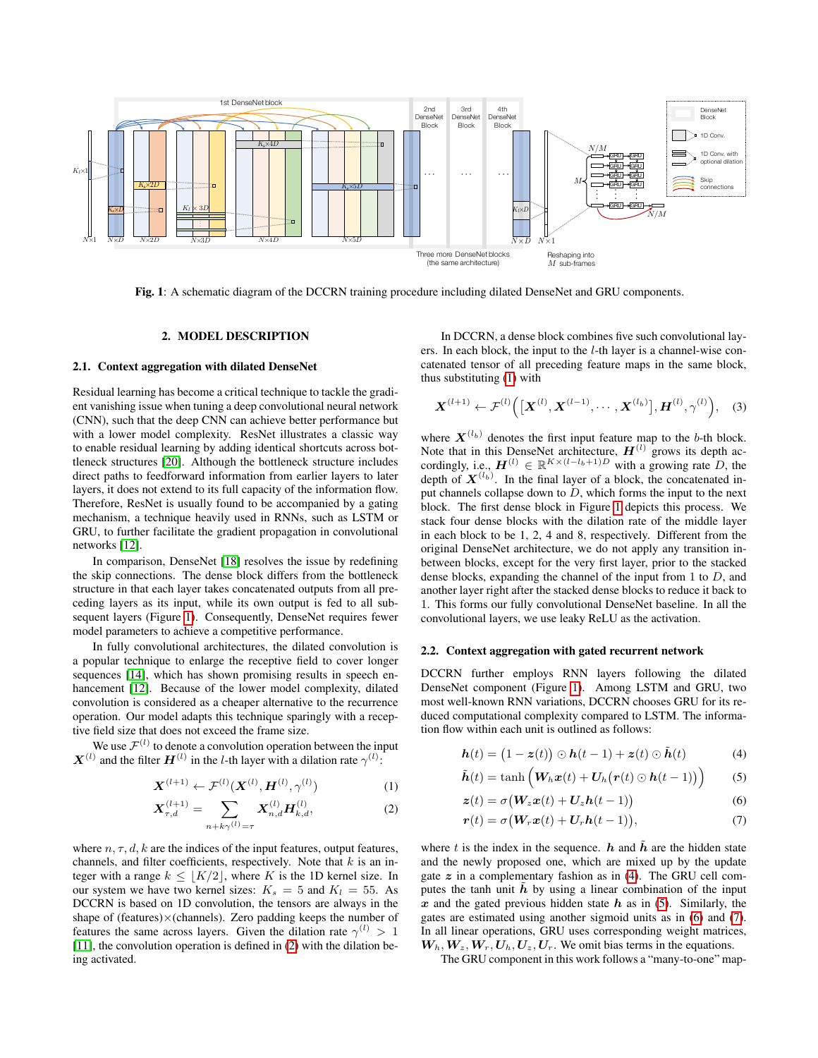<span id="page-1-1"></span>

Fig. 1: A schematic diagram of the DCCRN training procedure including dilated DenseNet and GRU components.

## 2. MODEL DESCRIPTION

## <span id="page-1-0"></span>2.1. Context aggregation with dilated DenseNet

Residual learning has become a critical technique to tackle the gradient vanishing issue when tuning a deep convolutional neural network (CNN), such that the deep CNN can achieve better performance but with a lower model complexity. ResNet illustrates a classic way to enable residual learning by adding identical shortcuts across bottleneck structures [\[20\]](#page-4-19). Although the bottleneck structure includes direct paths to feedforward information from earlier layers to later layers, it does not extend to its full capacity of the information flow. Therefore, ResNet is usually found to be accompanied by a gating mechanism, a technique heavily used in RNNs, such as LSTM or GRU, to further facilitate the gradient propagation in convolutional networks [\[12\]](#page-4-11).

In comparison, DenseNet [\[18\]](#page-4-17) resolves the issue by redefining the skip connections. The dense block differs from the bottleneck structure in that each layer takes concatenated outputs from all preceding layers as its input, while its own output is fed to all subsequent layers (Figure [1\)](#page-1-1). Consequently, DenseNet requires fewer model parameters to achieve a competitive performance.

In fully convolutional architectures, the dilated convolution is a popular technique to enlarge the receptive field to cover longer sequences [\[14\]](#page-4-13), which has shown promising results in speech en-hancement [\[12\]](#page-4-11). Because of the lower model complexity, dilated convolution is considered as a cheaper alternative to the recurrence operation. Our model adapts this technique sparingly with a receptive field size that does not exceed the frame size.

We use  $\mathcal{F}^{(l)}$  to denote a convolution operation between the input  $\boldsymbol{X}^{(l)}$  and the filter  $\boldsymbol{H}^{(l)}$  in the *l*-th layer with a dilation rate  $\gamma^{(l)}$ :

$$
\boldsymbol{X}^{(l+1)} \leftarrow \mathcal{F}^{(l)}(\boldsymbol{X}^{(l)}, \boldsymbol{H}^{(l)}, \gamma^{(l)})
$$
(1)

$$
\mathbf{X}_{\tau,d}^{(l+1)} = \sum_{n+k\gamma^{(l)}=\tau} \mathbf{X}_{n,d}^{(l)} \mathbf{H}_{k,d}^{(l)},
$$
(2)

where  $n, \tau, d, k$  are the indices of the input features, output features, channels, and filter coefficients, respectively. Note that  $k$  is an integer with a range  $k \leq |K/2|$ , where K is the 1D kernel size. In our system we have two kernel sizes:  $K_s = 5$  and  $K_l = 55$ . As DCCRN is based on 1D convolution, the tensors are always in the shape of (features) $\times$ (channels). Zero padding keeps the number of features the same across layers. Given the dilation rate  $\gamma^{(l)} > 1$ [\[11\]](#page-4-10), the convolution operation is defined in [\(2\)](#page-1-2) with the dilation being activated.

In DCCRN, a dense block combines five such convolutional layers. In each block, the input to the l-th layer is a channel-wise concatenated tensor of all preceding feature maps in the same block, thus substituting [\(1\)](#page-1-3) with

$$
\boldsymbol{X}^{(l+1)} \leftarrow \mathcal{F}^{(l)}\Big( \big[ \boldsymbol{X}^{(l)}, \boldsymbol{X}^{(l-1)}, \cdots, \boldsymbol{X}^{(l_b)} \big], \boldsymbol{H}^{(l)}, \gamma^{(l)} \Big), \quad (3)
$$

where  $X^{(l_b)}$  denotes the first input feature map to the b-th block. Note that in this DenseNet architecture,  $H^{(l)}$  grows its depth accordingly, i.e.,  $\mathbf{H}^{(l)} \in \mathbb{R}^{K \times (l-l_b+1)D}$  with a growing rate D, the depth of  $X^{(l_b)}$ . In the final layer of a block, the concatenated input channels collapse down to  $D$ , which forms the input to the next block. The first dense block in Figure [1](#page-1-1) depicts this process. We stack four dense blocks with the dilation rate of the middle layer in each block to be 1, 2, 4 and 8, respectively. Different from the original DenseNet architecture, we do not apply any transition inbetween blocks, except for the very first layer, prior to the stacked dense blocks, expanding the channel of the input from 1 to D, and another layer right after the stacked dense blocks to reduce it back to 1. This forms our fully convolutional DenseNet baseline. In all the convolutional layers, we use leaky ReLU as the activation.

## 2.2. Context aggregation with gated recurrent network

DCCRN further employs RNN layers following the dilated DenseNet component (Figure [1\)](#page-1-1). Among LSTM and GRU, two most well-known RNN variations, DCCRN chooses GRU for its reduced computational complexity compared to LSTM. The information flow within each unit is outlined as follows:

<span id="page-1-4"></span>
$$
\boldsymbol{h}(t) = (1 - \boldsymbol{z}(t)) \odot \boldsymbol{h}(t - 1) + \boldsymbol{z}(t) \odot \tilde{\boldsymbol{h}}(t) \tag{4}
$$

<span id="page-1-3"></span>
$$
\tilde{\bm{h}}(t) = \tanh\left(\bm{W}_h\bm{x}(t) + \bm{U}_h\big(\bm{r}(t) \odot \bm{h}(t-1)\big)\right) \tag{5}
$$

<span id="page-1-7"></span><span id="page-1-6"></span><span id="page-1-5"></span>
$$
\mathbf{z}(t) = \sigma \big(\mathbf{W}_z \mathbf{x}(t) + \mathbf{U}_z \mathbf{h}(t-1)\big) \tag{6}
$$

$$
\boldsymbol{r}(t) = \sigma \big(\boldsymbol{W}_r \boldsymbol{x}(t) + \boldsymbol{U}_r \boldsymbol{h}(t-1)\big),\tag{7}
$$

<span id="page-1-2"></span>where t is the index in the sequence.  $h$  and  $\bar{h}$  are the hidden state and the newly proposed one, which are mixed up by the update gate  $z$  in a complementary fashion as in [\(4\)](#page-1-4). The GRU cell computes the tanh unit  $\hat{h}$  by using a linear combination of the input  $x$  and the gated previous hidden state  $h$  as in [\(5\)](#page-1-5). Similarly, the gates are estimated using another sigmoid units as in [\(6\)](#page-1-6) and [\(7\)](#page-1-7). In all linear operations, GRU uses corresponding weight matrices,  $W_h, W_z, W_r, U_h, U_z, U_r$ . We omit bias terms in the equations.

The GRU component in this work follows a "many-to-one" map-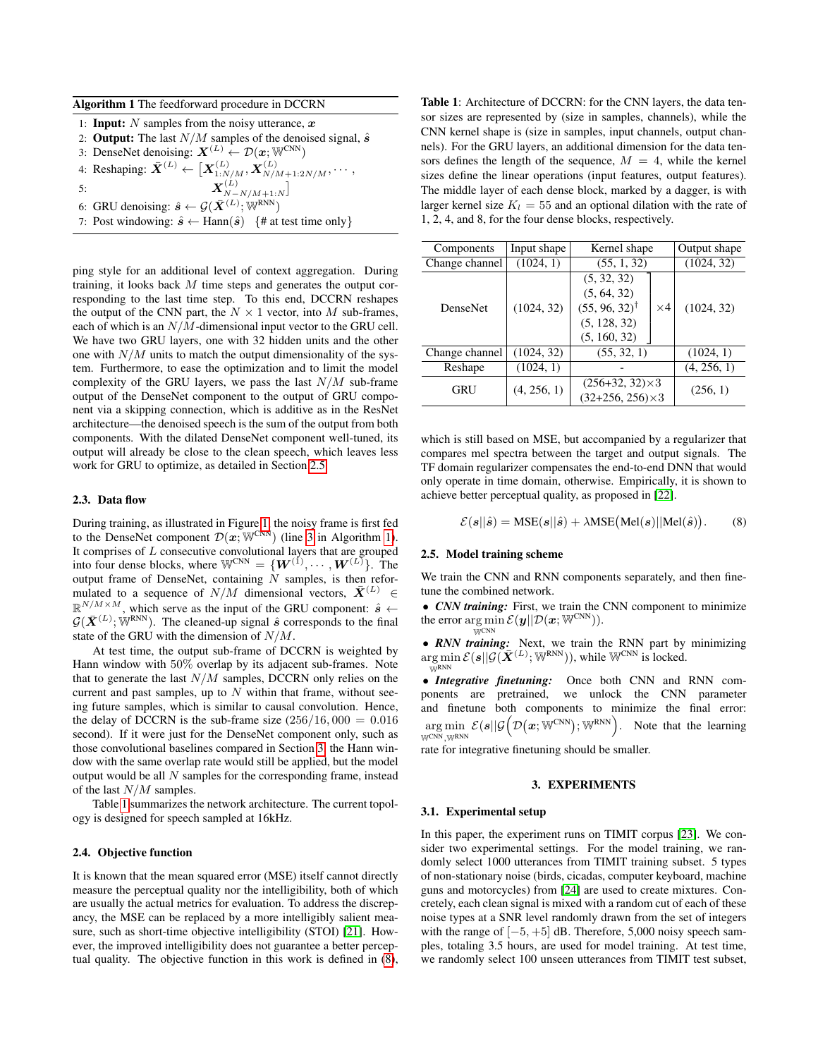<span id="page-2-3"></span>

|  |  | Algorithm 1 The feedforward procedure in DCCRN |  |
|--|--|------------------------------------------------|--|
|--|--|------------------------------------------------|--|

- 1: **Input:** N samples from the noisy utterance,  $x$
- 2: Output: The last  $N/M$  samples of the denoised signal,  $\hat{s}$
- <span id="page-2-2"></span>3: DenseNet denoising:  $\mathbf{X}^{(L)} \leftarrow \mathcal{D}(\mathbf{x}; \mathbb{W}^{\text{CNN}})$ 4: Reshaping:  $\bar{X}^{(L)} \leftarrow \left[ \bar{X}^{(L)}_{1:N/M}, \bar{X}^{(L)}_{N/M+1:2N/M}, \cdots, \right.$
- 

5:  $X$  $\binom{(L)}{N-N/M+1:N}$ 

- 6: GRU denoising:  $\hat{\mathbf{s}} \leftarrow \mathcal{G}(\bar{\mathbf{X}}^{(L)}; \mathbb{W}^{\text{RNN}})$
- 7: Post windowing:  $\hat{s} \leftarrow \text{Hann}(\hat{s})$  {# at test time only}

ping style for an additional level of context aggregation. During training, it looks back  $M$  time steps and generates the output corresponding to the last time step. To this end, DCCRN reshapes the output of the CNN part, the  $N \times 1$  vector, into M sub-frames, each of which is an  $N/M$ -dimensional input vector to the GRU cell. We have two GRU layers, one with 32 hidden units and the other one with  $N/M$  units to match the output dimensionality of the system. Furthermore, to ease the optimization and to limit the model complexity of the GRU layers, we pass the last  $N/M$  sub-frame output of the DenseNet component to the output of GRU component via a skipping connection, which is additive as in the ResNet architecture—the denoised speech is the sum of the output from both components. With the dilated DenseNet component well-tuned, its output will already be close to the clean speech, which leaves less work for GRU to optimize, as detailed in Section [2.5.](#page-2-1)

## 2.3. Data flow

During training, as illustrated in Figure [1,](#page-1-1) the noisy frame is first fed to the DenseNet component  $\mathcal{D}(\boldsymbol{x}; \mathbb{W}^{\text{CNN}})$  (line [3](#page-2-2) in Algorithm [1\)](#page-2-3). It comprises of  $L$  consecutive convolutional layers that are grouped into four dense blocks, where  $\mathbb{W}^{\text{CNN}} = \{ \boldsymbol{W}^{(1)}, \cdots, \boldsymbol{W}^{(L)} \}$ . The output frame of DenseNet, containing  $N$  samples, is then reformulated to a sequence of  $N/M$  dimensional vectors,  $\bar{X}^{(L)} \in$  $\mathbb{R}^{N/M \times M}$ , which serve as the input of the GRU component:  $\hat{s} \leftarrow$  $G(\bar{X}^{(L)}; \mathbb{W}^{RNN})$ . The cleaned-up signal  $\hat{s}$  corresponds to the final state of the GRU with the dimension of  $N/M$ .

At test time, the output sub-frame of DCCRN is weighted by Hann window with 50% overlap by its adjacent sub-frames. Note that to generate the last  $N/M$  samples, DCCRN only relies on the current and past samples, up to  $N$  within that frame, without seeing future samples, which is similar to causal convolution. Hence, the delay of DCCRN is the sub-frame size  $(256/16, 000 = 0.016)$ second). If it were just for the DenseNet component only, such as those convolutional baselines compared in Section [3,](#page-2-0) the Hann window with the same overlap rate would still be applied, but the model output would be all  $N$  samples for the corresponding frame, instead of the last  $N/M$  samples.

Table [1](#page-2-4) summarizes the network architecture. The current topology is designed for speech sampled at 16kHz.

## 2.4. Objective function

It is known that the mean squared error (MSE) itself cannot directly measure the perceptual quality nor the intelligibility, both of which are usually the actual metrics for evaluation. To address the discrepancy, the MSE can be replaced by a more intelligibly salient measure, such as short-time objective intelligibility (STOI) [\[21\]](#page-4-20). However, the improved intelligibility does not guarantee a better perceptual quality. The objective function in this work is defined in [\(8\)](#page-2-5),

<span id="page-2-4"></span>Table 1: Architecture of DCCRN: for the CNN layers, the data tensor sizes are represented by (size in samples, channels), while the CNN kernel shape is (size in samples, input channels, output channels). For the GRU layers, an additional dimension for the data tensors defines the length of the sequence,  $M = 4$ , while the kernel sizes define the linear operations (input features, output features). The middle layer of each dense block, marked by a dagger, is with larger kernel size  $K_l = 55$  and an optional dilation with the rate of 1, 2, 4, and 8, for the four dense blocks, respectively.

| Components      | Input shape | Kernel shape                                        | Output shape |  |  |
|-----------------|-------------|-----------------------------------------------------|--------------|--|--|
| Change channel  | (1024, 1)   | (55, 1, 32)                                         | (1024, 32)   |  |  |
| <b>DenseNet</b> |             | (5, 32, 32)                                         |              |  |  |
|                 |             | (5, 64, 32)                                         |              |  |  |
|                 | (1024, 32)  | $(55, 96, 32)^{\dagger}$<br>$\times 4$              | (1024, 32)   |  |  |
|                 |             | (5, 128, 32)                                        |              |  |  |
|                 |             | (5, 160, 32)                                        |              |  |  |
| Change channel  | (1024, 32)  | (55, 32, 1)                                         | (1024, 1)    |  |  |
| Reshape         | (1024, 1)   |                                                     | (4, 256, 1)  |  |  |
| GRU             | (4, 256, 1) | $(256+32, 32) \times 3$<br>$(32+256, 256) \times 3$ | (256, 1)     |  |  |

which is still based on MSE, but accompanied by a regularizer that compares mel spectra between the target and output signals. The TF domain regularizer compensates the end-to-end DNN that would only operate in time domain, otherwise. Empirically, it is shown to achieve better perceptual quality, as proposed in [\[22\]](#page-4-21).

<span id="page-2-5"></span>
$$
\mathcal{E}(\boldsymbol{s}||\hat{\boldsymbol{s}}) = \text{MSE}(\boldsymbol{s}||\hat{\boldsymbol{s}}) + \lambda \text{MSE}(\text{Mel}(\boldsymbol{s})||\text{Mel}(\hat{\boldsymbol{s}})).
$$
 (8)

#### <span id="page-2-1"></span>2.5. Model training scheme

We train the CNN and RNN components separately, and then finetune the combined network.

• *CNN training:* First, we train the CNN component to minimize the error  $\arg \min \mathcal{E}(\boldsymbol{y}||\mathcal{D}(\boldsymbol{x}; \mathbb{W}^{\text{CNN}})).$  $\breve{\text{W}}$  CNN

• *RNN training:* Next, we train the RNN part by minimizing  $\arg \min \mathcal{E}(s||\mathcal{G}(\bar{\boldsymbol{X}}^{(L)};\mathbb{W}^\text{RNN}))$ , while  $\mathbb{W}^\text{CNN}$  is locked. WRNN

• *Integrative finetuning:* Once both CNN and RNN components are pretrained, we unlock the CNN parameter and finetune both components to minimize the final error:  $\argmin \; \mathcal{E}(\bm{s} || \mathcal{G}\big(\mathcal{D}(\bm{x}; \mathbb{W}^\text{CNN}); \mathbb{W}^\text{RNN}\big)$ WCNN,WRNN . Note that the learning

rate for integrative finetuning should be smaller.

## 3. EXPERIMENTS

#### <span id="page-2-0"></span>3.1. Experimental setup

In this paper, the experiment runs on TIMIT corpus [\[23\]](#page-4-22). We consider two experimental settings. For the model training, we randomly select 1000 utterances from TIMIT training subset. 5 types of non-stationary noise (birds, cicadas, computer keyboard, machine guns and motorcycles) from [\[24\]](#page-4-23) are used to create mixtures. Concretely, each clean signal is mixed with a random cut of each of these noise types at a SNR level randomly drawn from the set of integers with the range of  $[-5, +5]$  dB. Therefore, 5,000 noisy speech samples, totaling 3.5 hours, are used for model training. At test time, we randomly select 100 unseen utterances from TIMIT test subset,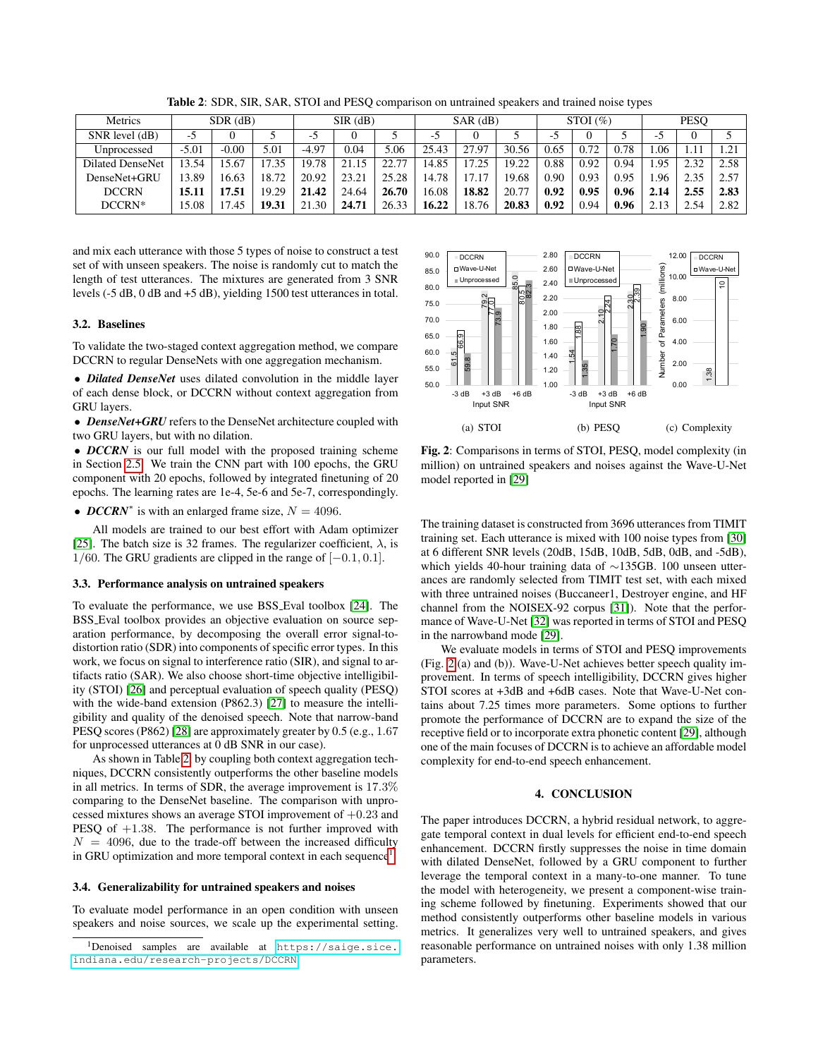Table 2: SDR, SIR, SAR, STOI and PESQ comparison on untrained speakers and trained noise types

<span id="page-3-1"></span>

| Metrics                 | $SDR$ $(dB)$ |         | $SIR$ (dB) |         | $SAR$ (dB) |       | STOI(%) |       |       | <b>PESO</b> |      |      |      |      |      |
|-------------------------|--------------|---------|------------|---------|------------|-------|---------|-------|-------|-------------|------|------|------|------|------|
| $SNR$ level $(dB)$      | -5           |         |            | -0      |            |       | $-5$    |       |       | -5          |      |      | - -  |      |      |
| Unprocessed             | $-5.01$      | $-0.00$ | 5.01       | $-4.97$ | 0.04       | 5.06  | 25.43   | 27.97 | 30.56 | 0.65        | 0.72 | 0.78 | .06  |      |      |
| <b>Dilated DenseNet</b> | 13.54        | 5.67    | 7.35       | 19.78   | 15         | 22.77 | 14.85   | 17.25 | 19.22 | 0.88        | 0.92 | 0.94 | .95  | 2.32 | 2.58 |
| DenseNet+GRU            | 13.89        | 16.63   | 18.72      | 20.92   | 23.21      | 25.28 | 14.78   | 17.17 | 19.68 | 0.90        | 0.93 | 0.95 | .96  | 2.35 | 2.57 |
| <b>DCCRN</b>            | 15.11        | 7.51    | 19.29      | 21.42   | 24.64      | 26.70 | 16.08   | 18.82 | 20.77 | 0.92        | 0.95 | 0.96 | 2.14 | 2.55 | 2.83 |
| DCCRN*                  | 15.08        | 7.45    | 19.31      | 21.30   | 24.71      | 26.33 | 16.22   | 18.76 | 20.83 | 0.92        | 0.94 | 0.96 |      | 2.54 | 2.82 |

and mix each utterance with those 5 types of noise to construct a test set of with unseen speakers. The noise is randomly cut to match the length of test utterances. The mixtures are generated from 3 SNR levels (-5 dB, 0 dB and +5 dB), yielding 1500 test utterances in total.

## 3.2. Baselines

To validate the two-staged context aggregation method, we compare DCCRN to regular DenseNets with one aggregation mechanism.

• *Dilated DenseNet* uses dilated convolution in the middle layer of each dense block, or DCCRN without context aggregation from GRU layers.

• *DenseNet+GRU* refers to the DenseNet architecture coupled with two GRU layers, but with no dilation.

• *DCCRN* is our full model with the proposed training scheme in Section [2.5.](#page-2-1) We train the CNN part with 100 epochs, the GRU component with 20 epochs, followed by integrated finetuning of 20 epochs. The learning rates are 1e-4, 5e-6 and 5e-7, correspondingly.

• *DCCRN*<sup>\*</sup> is with an enlarged frame size,  $N = 4096$ .

All models are trained to our best effort with Adam optimizer [\[25\]](#page-4-24). The batch size is 32 frames. The regularizer coefficient,  $\lambda$ , is 1/60. The GRU gradients are clipped in the range of [−0.1, 0.1].

#### 3.3. Performance analysis on untrained speakers

To evaluate the performance, we use BSS Eval toolbox [\[24\]](#page-4-23). The BSS Eval toolbox provides an objective evaluation on source separation performance, by decomposing the overall error signal-todistortion ratio (SDR) into components of specific error types. In this work, we focus on signal to interference ratio (SIR), and signal to artifacts ratio (SAR). We also choose short-time objective intelligibility (STOI) [\[26\]](#page-4-25) and perceptual evaluation of speech quality (PESQ) with the wide-band extension (P862.3) [\[27\]](#page-4-26) to measure the intelligibility and quality of the denoised speech. Note that narrow-band PESQ scores (P862) [\[28\]](#page-4-27) are approximately greater by 0.5 (e.g., 1.67 for unprocessed utterances at 0 dB SNR in our case). levels (5 of 8.1 0 and 1 and 1 and 1 and 1 and 1 and 1 and 1 and 1 and 1 and 1 and 1 and 1 and 1 and 1 and 1 and 1 and 1 and 1 and 1 and 1 and 1 and 1 and 1 and 1 and 1 and 1 and 1 and 1 and 1 and 1 and 1 and 1 and 1 and

As shown in Table [2,](#page-3-1) by coupling both context aggregation techniques, DCCRN consistently outperforms the other baseline models in all metrics. In terms of SDR, the average improvement is 17.3% comparing to the DenseNet baseline. The comparison with unprocessed mixtures shows an average STOI improvement of  $+0.23$  and PESQ of  $+1.38$ . The performance is not further improved with  $N = 4096$ , due to the trade-off between the increased difficulty in GRU optimization and more temporal context in each sequence<sup>[1](#page-3-2)</sup>.

#### 3.4. Generalizability for untrained speakers and noises

To evaluate model performance in an open condition with unseen speakers and noise sources, we scale up the experimental setting.

<span id="page-3-3"></span>

Fig. 2: Comparisons in terms of STOI, PESQ, model complexity (in million) on untrained speakers and noises against the Wave-U-Net model reported in [\[29\]](#page-4-28)

The training dataset is constructed from 3696 utterances from TIMIT training set. Each utterance is mixed with 100 noise types from [\[30\]](#page-4-29) at 6 different SNR levels (20dB, 15dB, 10dB, 5dB, 0dB, and -5dB), which yields 40-hour training data of ∼135GB. 100 unseen utterances are randomly selected from TIMIT test set, with each mixed with three untrained noises (Buccaneer1, Destroyer engine, and HF channel from the NOISEX-92 corpus [\[31\]](#page-4-30)). Note that the performance of Wave-U-Net [\[32\]](#page-4-31) was reported in terms of STOI and PESQ in the narrowband mode [\[29\]](#page-4-28).

We evaluate models in terms of STOI and PESQ improvements (Fig. [2](#page-3-3) (a) and (b)). Wave-U-Net achieves better speech quality improvement. In terms of speech intelligibility, DCCRN gives higher STOI scores at +3dB and +6dB cases. Note that Wave-U-Net contains about 7.25 times more parameters. Some options to further promote the performance of DCCRN are to expand the size of the receptive field or to incorporate extra phonetic content [\[29\]](#page-4-28), although one of the main focuses of DCCRN is to achieve an affordable model complexity for end-to-end speech enhancement.

# 4. CONCLUSION

<span id="page-3-0"></span>The paper introduces DCCRN, a hybrid residual network, to aggregate temporal context in dual levels for efficient end-to-end speech enhancement. DCCRN firstly suppresses the noise in time domain with dilated DenseNet, followed by a GRU component to further leverage the temporal context in a many-to-one manner. To tune the model with heterogeneity, we present a component-wise training scheme followed by finetuning. Experiments showed that our method consistently outperforms other baseline models in various metrics. It generalizes very well to untrained speakers, and gives reasonable performance on untrained noises with only 1.38 million parameters.

<span id="page-3-2"></span><sup>1</sup>Denoised samples are available at [https://saige.sice.](https://saige.sice.indiana.edu/research-projects/DCCRN)